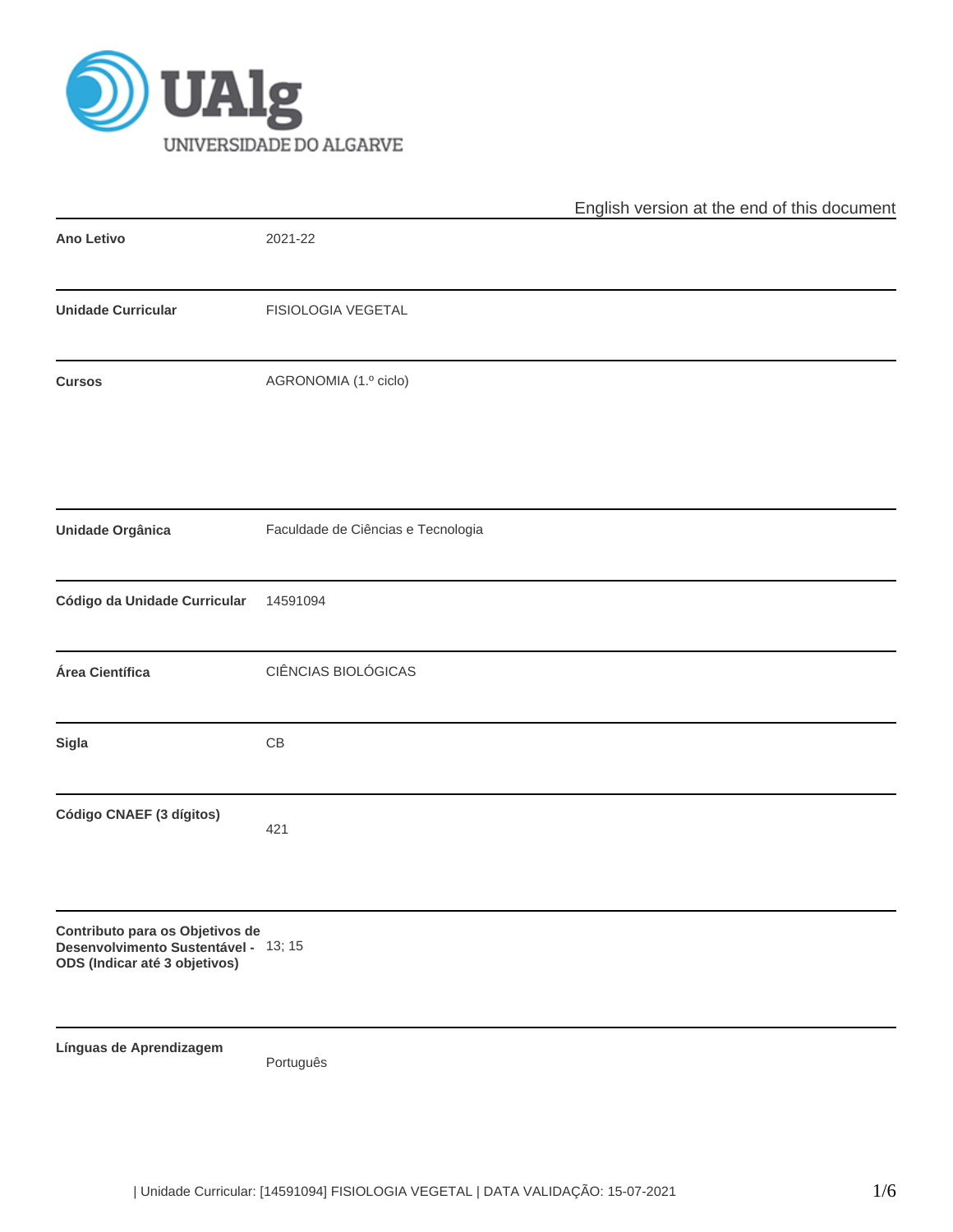

|                                                                                                          |                                    | English version at the end of this document |
|----------------------------------------------------------------------------------------------------------|------------------------------------|---------------------------------------------|
| Ano Letivo                                                                                               | 2021-22                            |                                             |
| <b>Unidade Curricular</b>                                                                                | FISIOLOGIA VEGETAL                 |                                             |
| <b>Cursos</b>                                                                                            | AGRONOMIA (1.º ciclo)              |                                             |
| Unidade Orgânica                                                                                         | Faculdade de Ciências e Tecnologia |                                             |
| Código da Unidade Curricular                                                                             | 14591094                           |                                             |
| Área Científica                                                                                          | CIÊNCIAS BIOLÓGICAS                |                                             |
| Sigla                                                                                                    | $\mathsf{CB}$                      |                                             |
| Código CNAEF (3 dígitos)                                                                                 | 421                                |                                             |
| Contributo para os Objetivos de<br>Desenvolvimento Sustentável - 13; 15<br>ODS (Indicar até 3 objetivos) |                                    |                                             |
| Línguas de Aprendizagem                                                                                  | Português                          |                                             |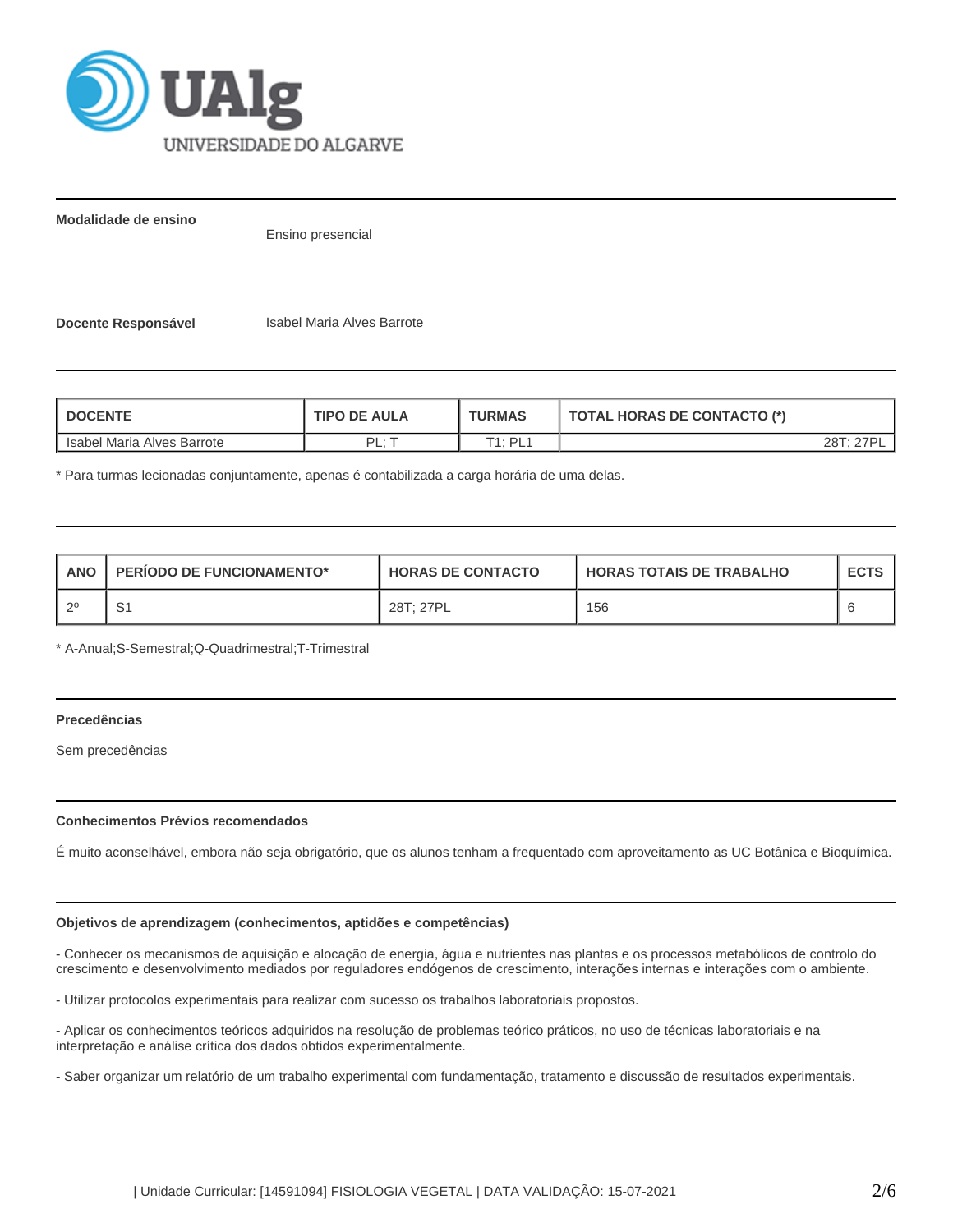

**Modalidade de ensino**

Ensino presencial

**Docente Responsável Isabel Maria Alves Barrote** 

| <b>DOCENTE</b><br><b>TIPO DE AULA</b> |         | <b>TURMAS</b> | <b>TOTAL HORAS DE CONTACTO (*)</b> |  |
|---------------------------------------|---------|---------------|------------------------------------|--|
| Isabel Maria Alves Barrote            | DI<br>. | T1: PL1       |                                    |  |

\* Para turmas lecionadas conjuntamente, apenas é contabilizada a carga horária de uma delas.

| <b>ANO</b> | <b>PERIODO DE FUNCIONAMENTO*</b> | <b>HORAS DE CONTACTO</b> | <b>HORAS TOTAIS DE TRABALHO</b> | <b>ECTS</b> |
|------------|----------------------------------|--------------------------|---------------------------------|-------------|
| റ0         | ັ                                | 28T; 27PL                | 156                             |             |

\* A-Anual;S-Semestral;Q-Quadrimestral;T-Trimestral

# **Precedências**

Sem precedências

# **Conhecimentos Prévios recomendados**

É muito aconselhável, embora não seja obrigatório, que os alunos tenham a frequentado com aproveitamento as UC Botânica e Bioquímica.

# **Objetivos de aprendizagem (conhecimentos, aptidões e competências)**

- Conhecer os mecanismos de aquisição e alocação de energia, água e nutrientes nas plantas e os processos metabólicos de controlo do crescimento e desenvolvimento mediados por reguladores endógenos de crescimento, interações internas e interações com o ambiente.

- Utilizar protocolos experimentais para realizar com sucesso os trabalhos laboratoriais propostos.

- Aplicar os conhecimentos teóricos adquiridos na resolução de problemas teórico práticos, no uso de técnicas laboratoriais e na interpretação e análise crítica dos dados obtidos experimentalmente.

- Saber organizar um relatório de um trabalho experimental com fundamentação, tratamento e discussão de resultados experimentais.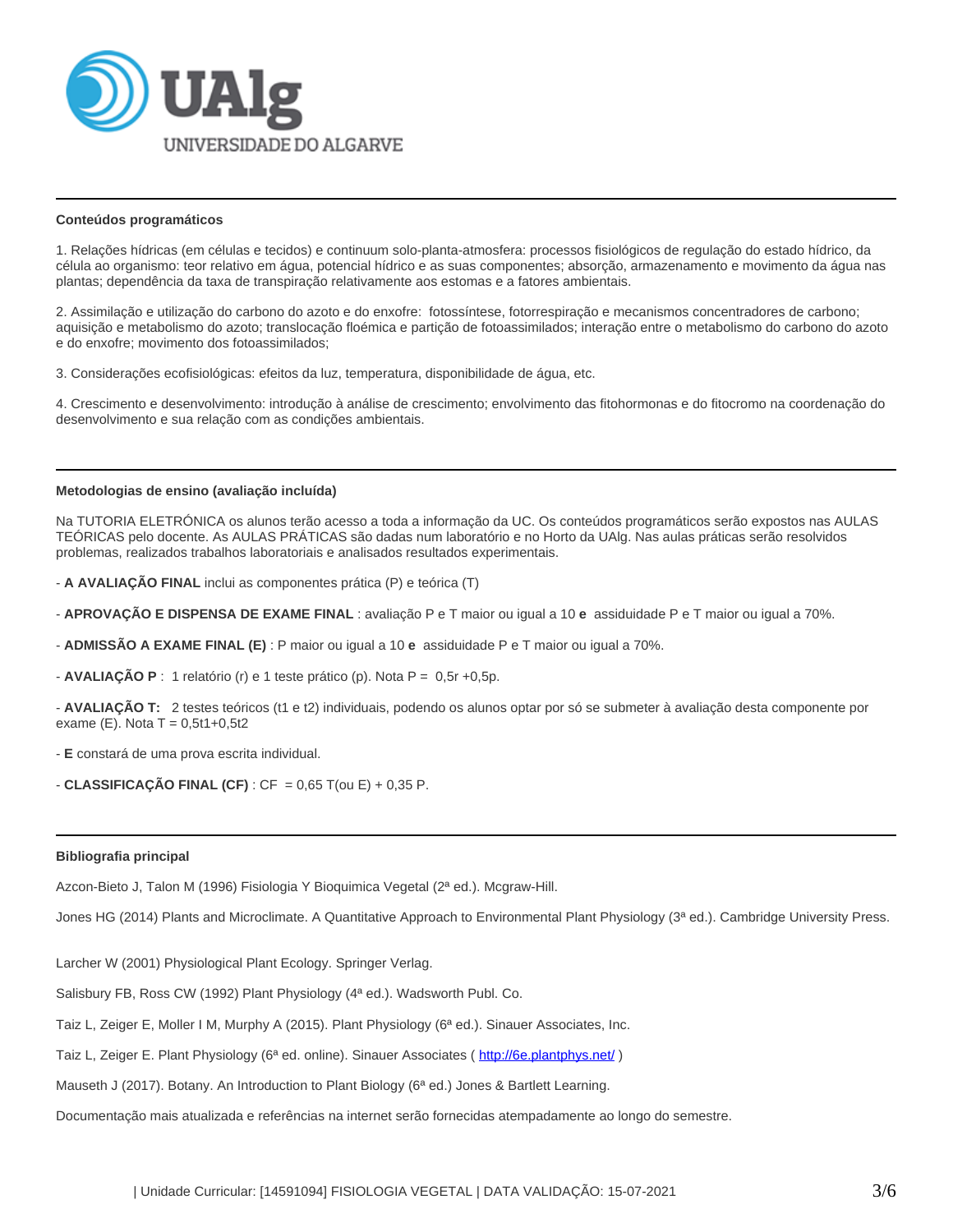

### **Conteúdos programáticos**

1. Relações hídricas (em células e tecidos) e continuum solo-planta-atmosfera: processos fisiológicos de regulação do estado hídrico, da célula ao organismo: teor relativo em água, potencial hídrico e as suas componentes; absorção, armazenamento e movimento da água nas plantas; dependência da taxa de transpiração relativamente aos estomas e a fatores ambientais.

2. Assimilação e utilização do carbono do azoto e do enxofre: fotossíntese, fotorrespiração e mecanismos concentradores de carbono; aquisição e metabolismo do azoto; translocação floémica e partição de fotoassimilados; interação entre o metabolismo do carbono do azoto e do enxofre; movimento dos fotoassimilados;

3. Considerações ecofisiológicas: efeitos da luz, temperatura, disponibilidade de água, etc.

4. Crescimento e desenvolvimento: introdução à análise de crescimento; envolvimento das fitohormonas e do fitocromo na coordenação do desenvolvimento e sua relação com as condições ambientais.

#### **Metodologias de ensino (avaliação incluída)**

Na TUTORIA ELETRÓNICA os alunos terão acesso a toda a informação da UC. Os conteúdos programáticos serão expostos nas AULAS TEÓRICAS pelo docente. As AULAS PRÁTICAS são dadas num laboratório e no Horto da UAlg. Nas aulas práticas serão resolvidos problemas, realizados trabalhos laboratoriais e analisados resultados experimentais.

- **A AVALIAÇÃO FINAL** inclui as componentes prática (P) e teórica (T)

- **APROVAÇÃO E DISPENSA DE EXAME FINAL** : avaliação P e T maior ou igual a 10 **e** assiduidade P e T maior ou igual a 70%.
- **ADMISSÃO A EXAME FINAL (E)** : P maior ou igual a 10 **e** assiduidade P e T maior ou igual a 70%.
- **AVALIAÇÃO P** : 1 relatório (r) e 1 teste prático (p). Nota P = 0,5r +0,5p.

- **AVALIAÇÃO T:** 2 testes teóricos (t1 e t2) individuais, podendo os alunos optar por só se submeter à avaliação desta componente por exame (E). Nota  $T = 0,5t1+0,5t2$ 

- **E** constará de uma prova escrita individual.

- **CLASSIFICAÇÃO FINAL (CF)** :  $CF = 0.65$  T(ou E) + 0.35 P.

# **Bibliografia principal**

Azcon-Bieto J, Talon M (1996) Fisiologia Y Bioquimica Vegetal (2ª ed.). Mcgraw-Hill.

Jones HG (2014) Plants and Microclimate. A Quantitative Approach to Environmental Plant Physiology (3ª ed.). Cambridge University Press.

Larcher W (2001) Physiological Plant Ecology. Springer Verlag.

Salisbury FB, Ross CW (1992) Plant Physiology (4ª ed.). Wadsworth Publ. Co.

Taiz L, Zeiger E, Moller I M, Murphy A (2015). Plant Physiology (6ª ed.). Sinauer Associates, Inc.

Taiz L, Zeiger E. Plant Physiology (6ª ed. online). Sinauer Associates ( [http://6e.plantphys.net/](http://5e.plantphys.net/) )

Mauseth J (2017). Botany. An Introduction to Plant Biology (6<sup>a</sup> ed.) Jones & Bartlett Learning.

Documentação mais atualizada e referências na internet serão fornecidas atempadamente ao longo do semestre.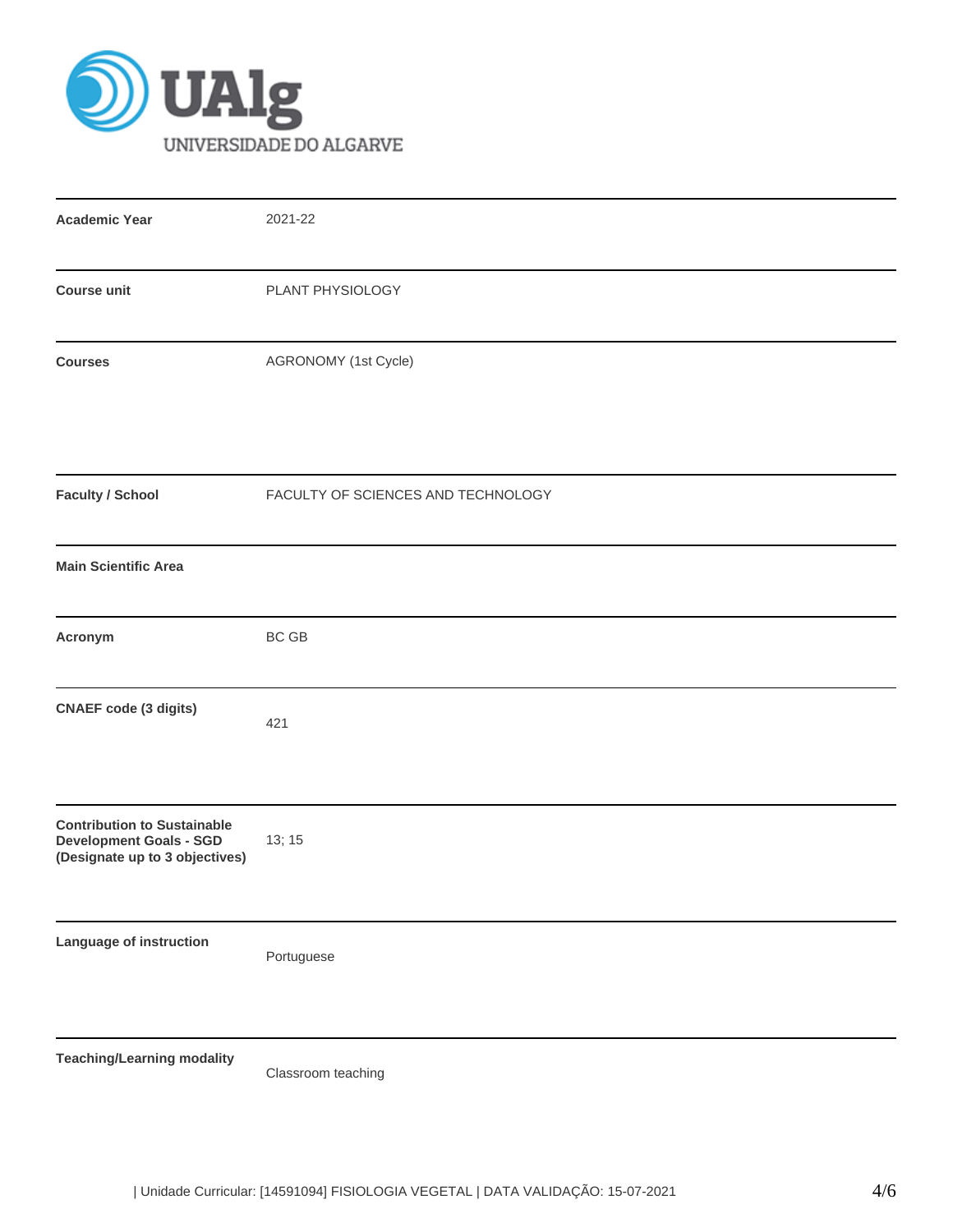

| <b>Academic Year</b>                                                                                   | 2021-22                            |
|--------------------------------------------------------------------------------------------------------|------------------------------------|
| <b>Course unit</b>                                                                                     | PLANT PHYSIOLOGY                   |
| <b>Courses</b>                                                                                         | AGRONOMY (1st Cycle)               |
| <b>Faculty / School</b>                                                                                | FACULTY OF SCIENCES AND TECHNOLOGY |
| <b>Main Scientific Area</b>                                                                            |                                    |
| Acronym                                                                                                | <b>BC GB</b>                       |
| <b>CNAEF</b> code (3 digits)                                                                           | 421                                |
| <b>Contribution to Sustainable</b><br><b>Development Goals - SGD</b><br>(Designate up to 3 objectives) | 13; 15                             |
| Language of instruction                                                                                | Portuguese                         |
| <b>Teaching/Learning modality</b>                                                                      | Classroom teaching                 |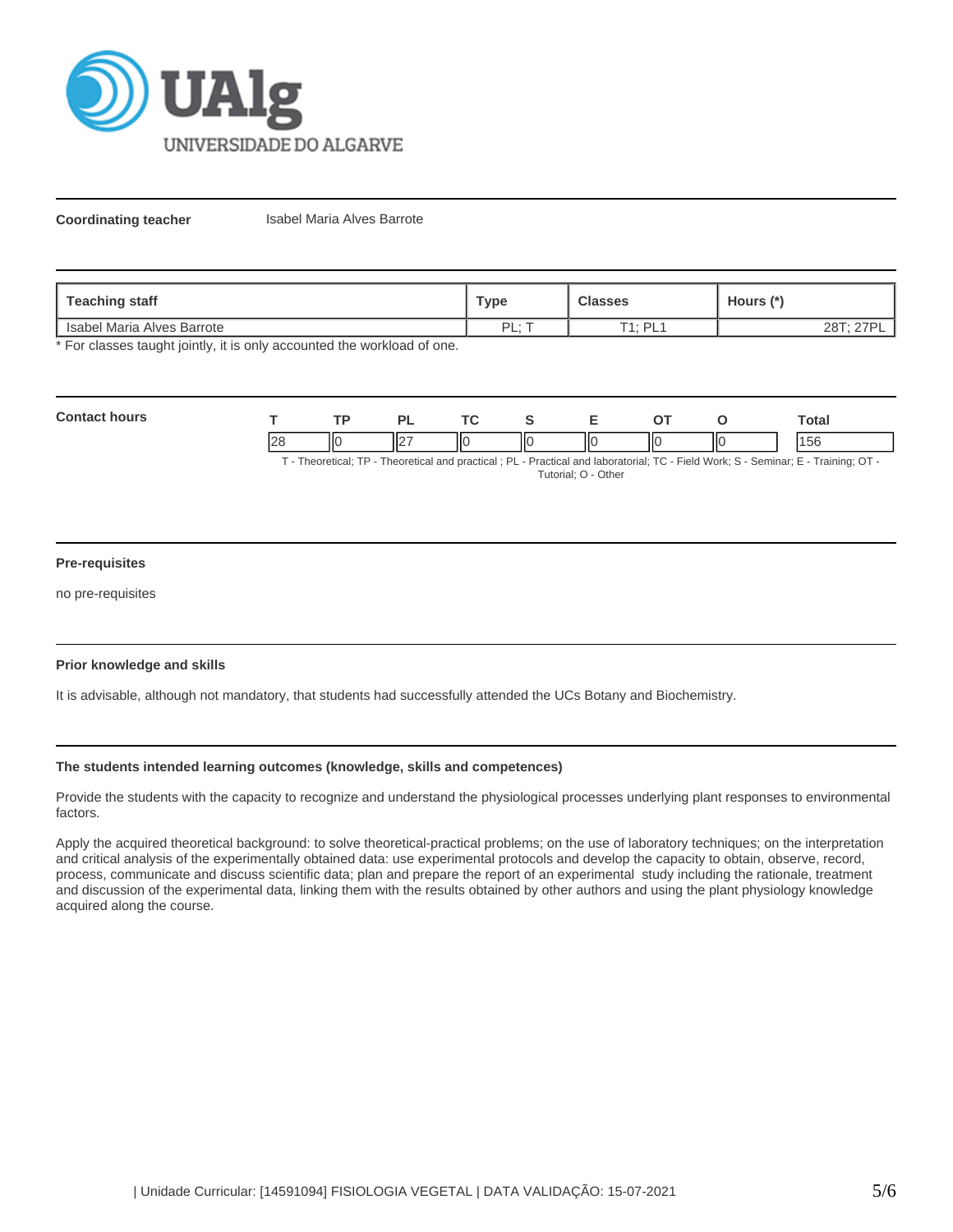

**Coordinating teacher Isabel Maria Alves Barrote** 

| Teaching staff             | Type | <b>Classes</b>      | Hours (*) |
|----------------------------|------|---------------------|-----------|
| Isabel Maria Alves Barrote | DI · | $T1 \cdot D1$<br>ъ. |           |

\* For classes taught jointly, it is only accounted the workload of one.

| Con |            | <b>TD</b> |         | <u>те</u> |    |     |     | otal   |
|-----|------------|-----------|---------|-----------|----|-----|-----|--------|
|     | $\epsilon$ | IІC       | Ш۰<br>Ш | IК        | ШC | IIC | ١ΙС | با برا |

T - Theoretical; TP - Theoretical and practical ; PL - Practical and laboratorial; TC - Field Work; S - Seminar; E - Training; OT - Tutorial; O - Other

# **Pre-requisites**

no pre-requisites

# **Prior knowledge and skills**

It is advisable, although not mandatory, that students had successfully attended the UCs Botany and Biochemistry.

# **The students intended learning outcomes (knowledge, skills and competences)**

Provide the students with the capacity to recognize and understand the physiological processes underlying plant responses to environmental factors.

Apply the acquired theoretical background: to solve theoretical-practical problems; on the use of laboratory techniques; on the interpretation and critical analysis of the experimentally obtained data: use experimental protocols and develop the capacity to obtain, observe, record, process, communicate and discuss scientific data; plan and prepare the report of an experimental study including the rationale, treatment and discussion of the experimental data, linking them with the results obtained by other authors and using the plant physiology knowledge acquired along the course.